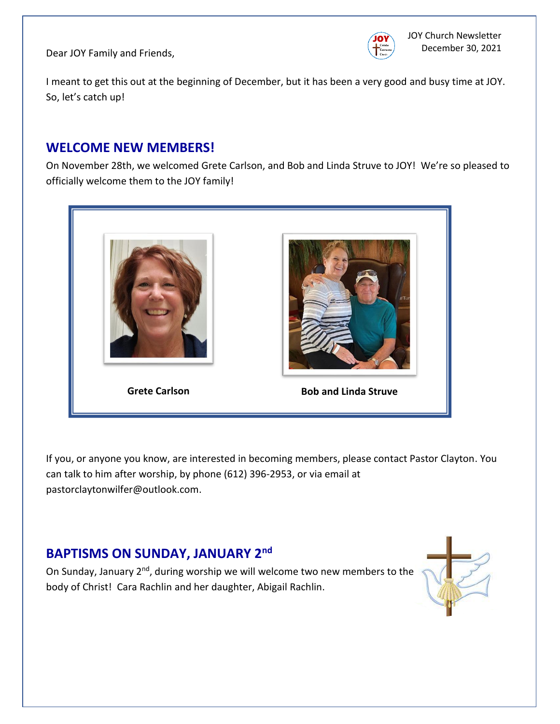Dear JOY Family and Friends,



I meant to get this out at the beginning of December, but it has been a very good and busy time at JOY. So, let's catch up!

# **WELCOME NEW MEMBERS!**

On November 28th, we welcomed Grete Carlson, and Bob and Linda Struve to JOY! We're so pleased to officially welcome them to the JOY family!



If you, or anyone you know, are interested in becoming members, please contact Pastor Clayton. You can talk to him after worship, by phone (612) 396-2953, or via email at pastorclaytonwilfer@outlook.com.

# **BAPTISMS ON SUNDAY, JANUARY 2nd**

On Sunday, January 2<sup>nd</sup>, during worship we will welcome two new members to the body of Christ! Cara Rachlin and her daughter, Abigail Rachlin.

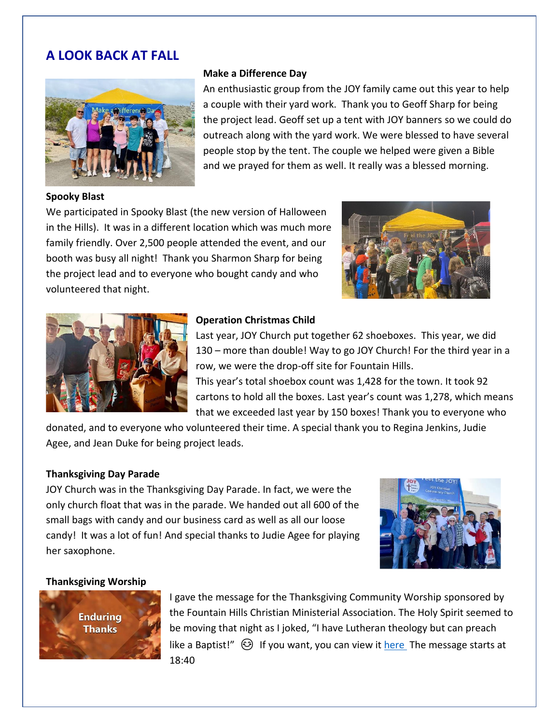## **A LOOK BACK AT FALL**



#### **Make a Difference Day**

An enthusiastic group from the JOY family came out this year to help a couple with their yard work. Thank you to Geoff Sharp for being the project lead. Geoff set up a tent with JOY banners so we could do outreach along with the yard work. We were blessed to have several people stop by the tent. The couple we helped were given a Bible and we prayed for them as well. It really was a blessed morning.

#### **Spooky Blast**

We participated in Spooky Blast (the new version of Halloween in the Hills). It was in a different location which was much more family friendly. Over 2,500 people attended the event, and our booth was busy all night! Thank you Sharmon Sharp for being the project lead and to everyone who bought candy and who volunteered that night.





#### **Operation Christmas Child**

Last year, JOY Church put together 62 shoeboxes. This year, we did 130 – more than double! Way to go JOY Church! For the third year in a row, we were the drop-off site for Fountain Hills.

This year's total shoebox count was 1,428 for the town. It took 92 cartons to hold all the boxes. Last year's count was 1,278, which means that we exceeded last year by 150 boxes! Thank you to everyone who

donated, and to everyone who volunteered their time. A special thank you to Regina Jenkins, Judie Agee, and Jean Duke for being project leads.

#### **Thanksgiving Day Parade**

JOY Church was in the Thanksgiving Day Parade. In fact, we were the only church float that was in the parade. We handed out all 600 of the small bags with candy and our business card as well as all our loose candy! It was a lot of fun! And special thanks to Judie Agee for playing her saxophone.



#### **Thanksgiving Worship**



I gave the message for the Thanksgiving Community Worship sponsored by the Fountain Hills Christian Ministerial Association. The Holy Spirit seemed to be moving that night as I joked, "I have Lutheran theology but can preach like a Baptist!"  $\circled{e}$  If you want, you can view it [here](https://www.youtube.com/watch?v=6mhXf6UoKYM&t=1439s) The message starts at 18:40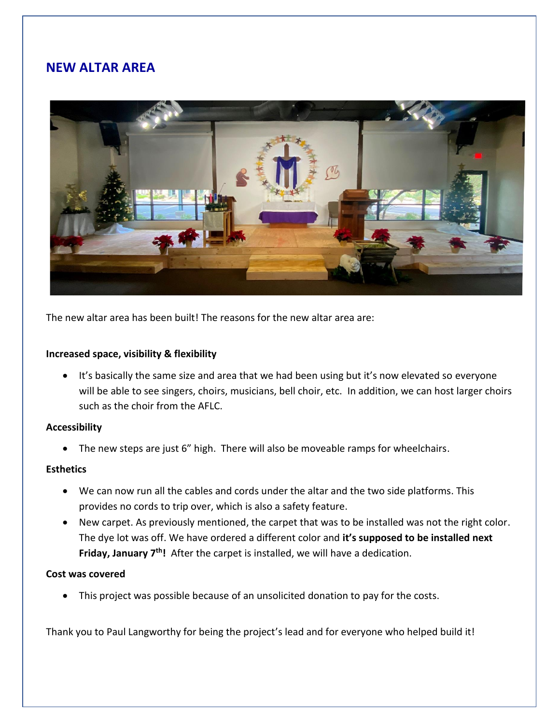## **NEW ALTAR AREA**



The new altar area has been built! The reasons for the new altar area are:

#### **Increased space, visibility & flexibility**

• It's basically the same size and area that we had been using but it's now elevated so everyone will be able to see singers, choirs, musicians, bell choir, etc. In addition, we can host larger choirs such as the choir from the AFLC.

#### **Accessibility**

• The new steps are just 6" high. There will also be moveable ramps for wheelchairs.

#### **Esthetics**

- We can now run all the cables and cords under the altar and the two side platforms. This provides no cords to trip over, which is also a safety feature.
- New carpet. As previously mentioned, the carpet that was to be installed was not the right color. The dye lot was off. We have ordered a different color and **it's supposed to be installed next**  Friday, January 7<sup>th</sup>! After the carpet is installed, we will have a dedication.

#### **Cost was covered**

• This project was possible because of an unsolicited donation to pay for the costs.

Thank you to Paul Langworthy for being the project's lead and for everyone who helped build it!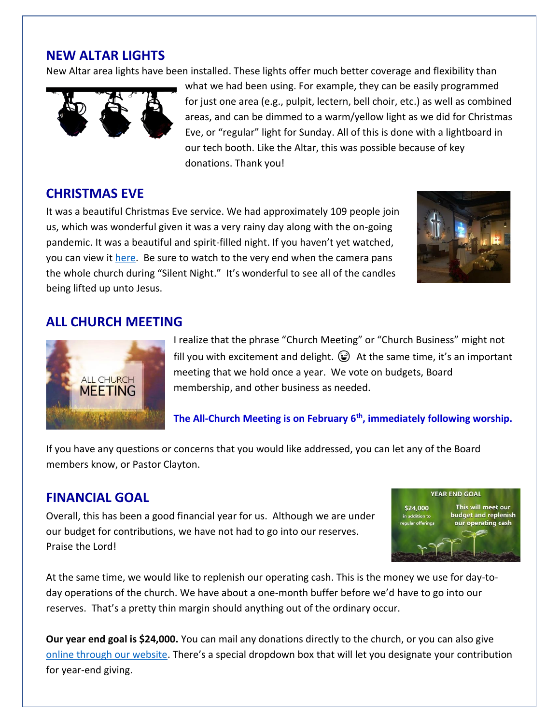### **NEW ALTAR LIGHTS**

New Altar area lights have been installed. These lights offer much better coverage and flexibility than



what we had been using. For example, they can be easily programmed for just one area (e.g., pulpit, lectern, bell choir, etc.) as well as combined areas, and can be dimmed to a warm/yellow light as we did for Christmas Eve, or "regular" light for Sunday. All of this is done with a lightboard in our tech booth. Like the Altar, this was possible because of key donations. Thank you!

### **CHRISTMAS EVE**

It was a beautiful Christmas Eve service. We had approximately 109 people join us, which was wonderful given it was a very rainy day along with the on-going pandemic. It was a beautiful and spirit-filled night. If you haven't yet watched, you can view it [here.](https://youtu.be/Znc4M0e5JGI) Be sure to watch to the very end when the camera pans the whole church during "Silent Night." It's wonderful to see all of the candles being lifted up unto Jesus.



# **ALL CHURCH MEETING**



I realize that the phrase "Church Meeting" or "Church Business" might not fill you with excitement and delight.  $\bigodot$  At the same time, it's an important meeting that we hold once a year. We vote on budgets, Board membership, and other business as needed.

**The All-Church Meeting is on February 6th, immediately following worship.**

If you have any questions or concerns that you would like addressed, you can let any of the Board members know, or Pastor Clayton.

### **FINANCIAL GOAL**

Overall, this has been a good financial year for us. Although we are under our budget for contributions, we have not had to go into our reserves. Praise the Lord!



At the same time, we would like to replenish our operating cash. This is the money we use for day-today operations of the church. We have about a one-month buffer before we'd have to go into our reserves. That's a pretty thin margin should anything out of the ordinary occur.

**Our year end goal is \$24,000.** You can mail any donations directly to the church, or you can also give [online through our website.](https://joychurchaz.com/giving/) There's a special dropdown box that will let you designate your contribution for year-end giving.